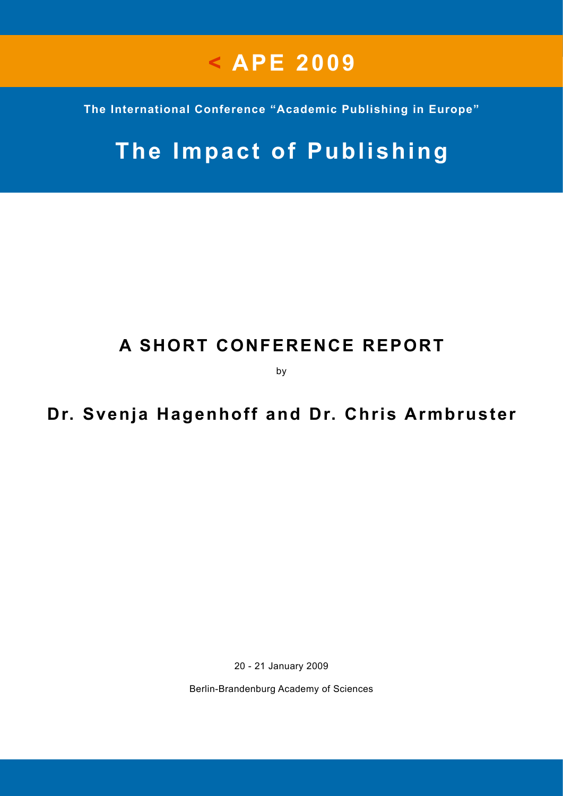# **< APE 2009**

**The International Conference "Academic Publishing in Europe"**

# **The Impact of Publishing**

## **A SHORT CONFERENCE REPORT**

by

## **Dr. Svenja Hagenhoff and Dr. Chris Armbruster**

20 - 21 January 2009

Berlin-Brandenburg Academy of Sciences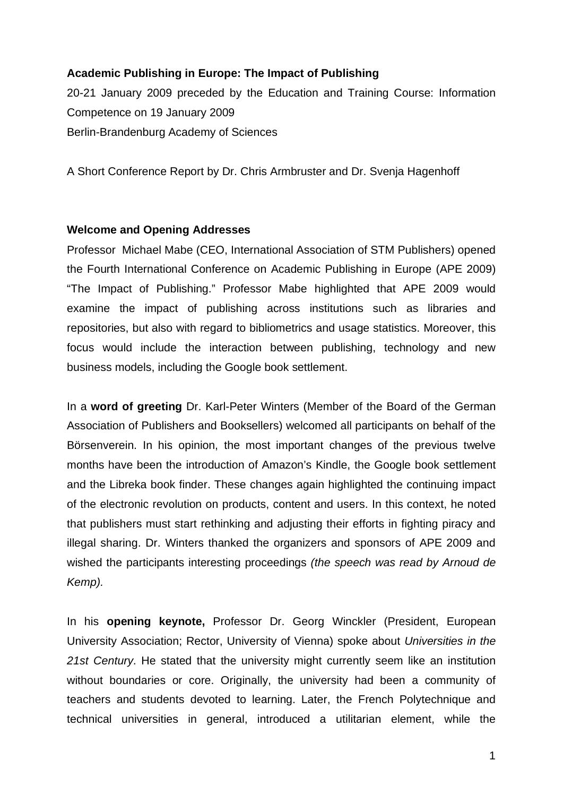### **Academic Publishing in Europe: The Impact of Publishing**

20-21 January 2009 preceded by the Education and Training Course: Information Competence on 19 January 2009 Berlin-Brandenburg Academy of Sciences

A Short Conference Report by Dr. Chris Armbruster and Dr. Svenja Hagenhoff

#### **Welcome and Opening Addresses**

Professor Michael Mabe (CEO, International Association of STM Publishers) opened the Fourth International Conference on Academic Publishing in Europe (APE 2009) "The Impact of Publishing." Professor Mabe highlighted that APE 2009 would examine the impact of publishing across institutions such as libraries and repositories, but also with regard to bibliometrics and usage statistics. Moreover, this focus would include the interaction between publishing, technology and new business models, including the Google book settlement.

In a **word of greeting** Dr. Karl-Peter Winters (Member of the Board of the German Association of Publishers and Booksellers) welcomed all participants on behalf of the Börsenverein. In his opinion, the most important changes of the previous twelve months have been the introduction of Amazon's Kindle, the Google book settlement and the Libreka book finder. These changes again highlighted the continuing impact of the electronic revolution on products, content and users. In this context, he noted that publishers must start rethinking and adjusting their efforts in fighting piracy and illegal sharing. Dr. Winters thanked the organizers and sponsors of APE 2009 and wished the participants interesting proceedings *(the speech was read by Arnoud de Kemp).* 

In his **opening keynote,** Professor Dr. Georg Winckler (President, European University Association; Rector, University of Vienna) spoke about *Universities in the 21st Century*. He stated that the university might currently seem like an institution without boundaries or core. Originally, the university had been a community of teachers and students devoted to learning. Later, the French Polytechnique and technical universities in general, introduced a utilitarian element, while the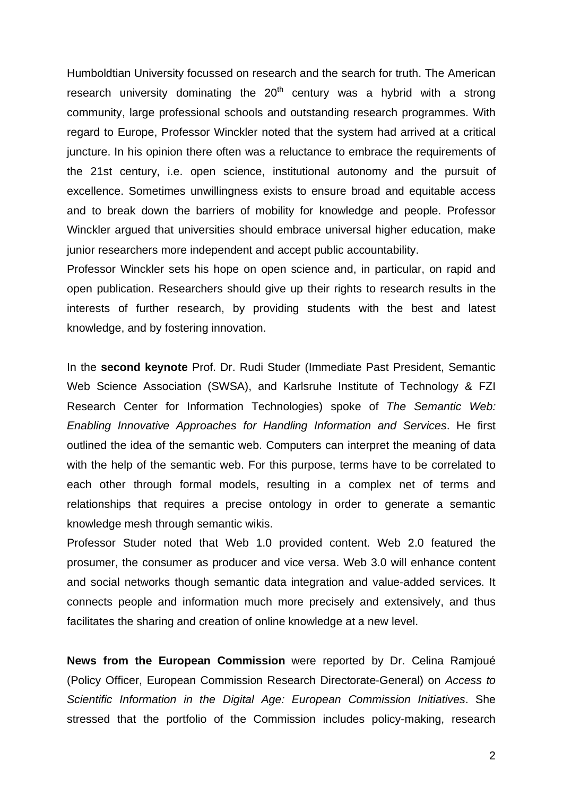Humboldtian University focussed on research and the search for truth. The American research university dominating the  $20<sup>th</sup>$  century was a hybrid with a strong community, large professional schools and outstanding research programmes. With regard to Europe, Professor Winckler noted that the system had arrived at a critical juncture. In his opinion there often was a reluctance to embrace the requirements of the 21st century, i.e. open science, institutional autonomy and the pursuit of excellence. Sometimes unwillingness exists to ensure broad and equitable access and to break down the barriers of mobility for knowledge and people. Professor Winckler argued that universities should embrace universal higher education, make junior researchers more independent and accept public accountability.

Professor Winckler sets his hope on open science and, in particular, on rapid and open publication. Researchers should give up their rights to research results in the interests of further research, by providing students with the best and latest knowledge, and by fostering innovation.

In the **second keynote** Prof. Dr. Rudi Studer (Immediate Past President, Semantic Web Science Association (SWSA), and Karlsruhe Institute of Technology & FZI Research Center for Information Technologies) spoke of *The Semantic Web: Enabling Innovative Approaches for Handling Information and Services*. He first outlined the idea of the semantic web. Computers can interpret the meaning of data with the help of the semantic web. For this purpose, terms have to be correlated to each other through formal models, resulting in a complex net of terms and relationships that requires a precise ontology in order to generate a semantic knowledge mesh through semantic wikis.

Professor Studer noted that Web 1.0 provided content. Web 2.0 featured the prosumer, the consumer as producer and vice versa. Web 3.0 will enhance content and social networks though semantic data integration and value-added services. It connects people and information much more precisely and extensively, and thus facilitates the sharing and creation of online knowledge at a new level.

**News from the European Commission** were reported by Dr. Celina Ramjoué (Policy Officer, European Commission Research Directorate-General) on *Access to Scientific Information in the Digital Age: European Commission Initiatives*. She stressed that the portfolio of the Commission includes policy-making, research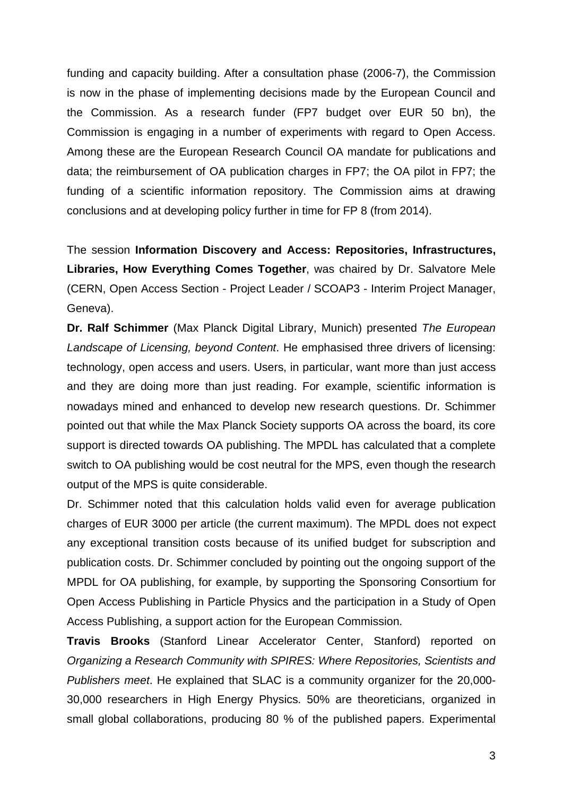funding and capacity building. After a consultation phase (2006-7), the Commission is now in the phase of implementing decisions made by the European Council and the Commission. As a research funder (FP7 budget over EUR 50 bn), the Commission is engaging in a number of experiments with regard to Open Access. Among these are the European Research Council OA mandate for publications and data; the reimbursement of OA publication charges in FP7; the OA pilot in FP7; the funding of a scientific information repository. The Commission aims at drawing conclusions and at developing policy further in time for FP 8 (from 2014).

The session **Information Discovery and Access: Repositories, Infrastructures, Libraries, How Everything Comes Together**, was chaired by Dr. Salvatore Mele (CERN, Open Access Section - Project Leader / SCOAP3 - Interim Project Manager, Geneva).

**Dr. Ralf Schimmer** (Max Planck Digital Library, Munich) presented *The European Landscape of Licensing, beyond Content*. He emphasised three drivers of licensing: technology, open access and users. Users, in particular, want more than just access and they are doing more than just reading. For example, scientific information is nowadays mined and enhanced to develop new research questions. Dr. Schimmer pointed out that while the Max Planck Society supports OA across the board, its core support is directed towards OA publishing. The MPDL has calculated that a complete switch to OA publishing would be cost neutral for the MPS, even though the research output of the MPS is quite considerable.

Dr. Schimmer noted that this calculation holds valid even for average publication charges of EUR 3000 per article (the current maximum). The MPDL does not expect any exceptional transition costs because of its unified budget for subscription and publication costs. Dr. Schimmer concluded by pointing out the ongoing support of the MPDL for OA publishing, for example, by supporting the Sponsoring Consortium for Open Access Publishing in Particle Physics and the participation in a Study of Open Access Publishing, a support action for the European Commission.

**Travis Brooks** (Stanford Linear Accelerator Center, Stanford) reported on *Organizing a Research Community with SPIRES: Where Repositories, Scientists and Publishers meet*. He explained that SLAC is a community organizer for the 20,000- 30,000 researchers in High Energy Physics. 50% are theoreticians, organized in small global collaborations, producing 80 % of the published papers. Experimental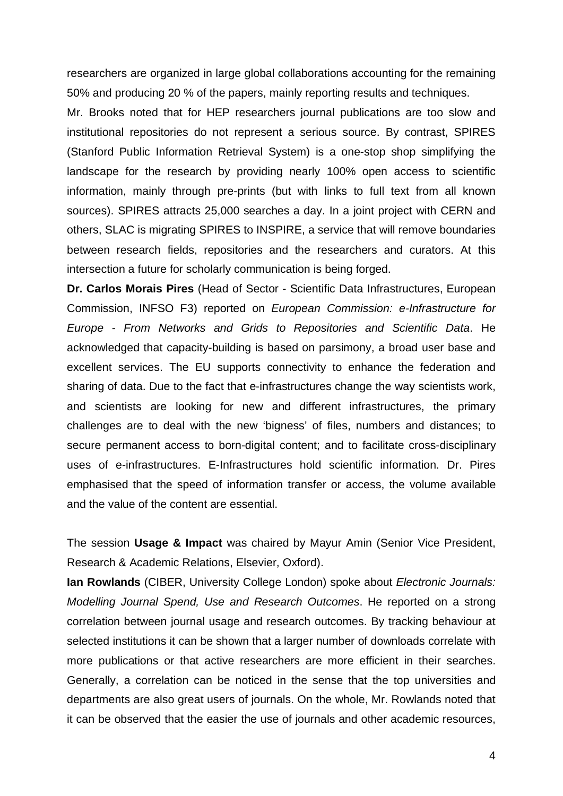researchers are organized in large global collaborations accounting for the remaining 50% and producing 20 % of the papers, mainly reporting results and techniques.

Mr. Brooks noted that for HEP researchers journal publications are too slow and institutional repositories do not represent a serious source. By contrast, SPIRES (Stanford Public Information Retrieval System) is a one-stop shop simplifying the landscape for the research by providing nearly 100% open access to scientific information, mainly through pre-prints (but with links to full text from all known sources). SPIRES attracts 25,000 searches a day. In a joint project with CERN and others, SLAC is migrating SPIRES to INSPIRE, a service that will remove boundaries between research fields, repositories and the researchers and curators. At this intersection a future for scholarly communication is being forged.

**Dr. Carlos Morais Pires** (Head of Sector - Scientific Data Infrastructures, European Commission, INFSO F3) reported on *European Commission: e-Infrastructure for Europe - From Networks and Grids to Repositories and Scientific Data*. He acknowledged that capacity-building is based on parsimony, a broad user base and excellent services. The EU supports connectivity to enhance the federation and sharing of data. Due to the fact that e-infrastructures change the way scientists work, and scientists are looking for new and different infrastructures, the primary challenges are to deal with the new 'bigness' of files, numbers and distances; to secure permanent access to born-digital content; and to facilitate cross-disciplinary uses of e-infrastructures. E-Infrastructures hold scientific information. Dr. Pires emphasised that the speed of information transfer or access, the volume available and the value of the content are essential.

The session **Usage & Impact** was chaired by Mayur Amin (Senior Vice President, Research & Academic Relations, Elsevier, Oxford).

**Ian Rowlands** (CIBER, University College London) spoke about *Electronic Journals: Modelling Journal Spend, Use and Research Outcomes*. He reported on a strong correlation between journal usage and research outcomes. By tracking behaviour at selected institutions it can be shown that a larger number of downloads correlate with more publications or that active researchers are more efficient in their searches. Generally, a correlation can be noticed in the sense that the top universities and departments are also great users of journals. On the whole, Mr. Rowlands noted that it can be observed that the easier the use of journals and other academic resources,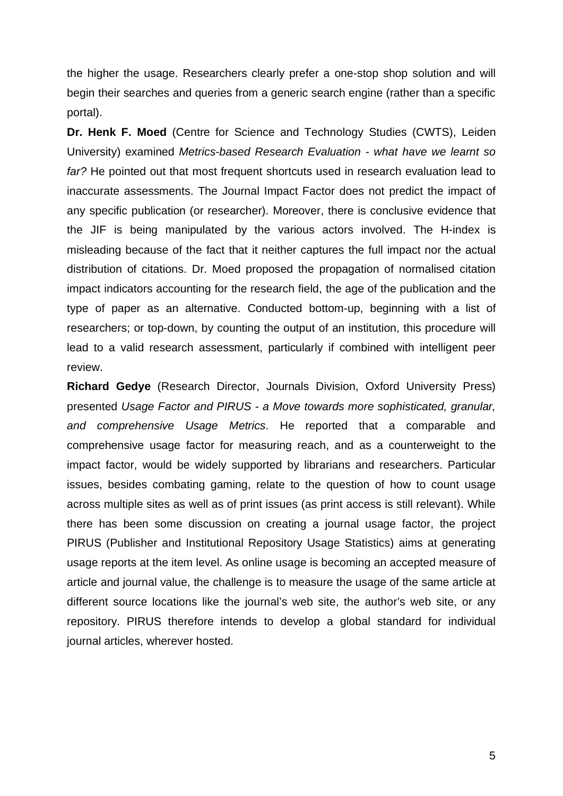the higher the usage. Researchers clearly prefer a one-stop shop solution and will begin their searches and queries from a generic search engine (rather than a specific portal).

**Dr. Henk F. Moed** (Centre for Science and Technology Studies (CWTS), Leiden University) examined *Metrics-based Research Evaluation - what have we learnt so far?* He pointed out that most frequent shortcuts used in research evaluation lead to inaccurate assessments. The Journal Impact Factor does not predict the impact of any specific publication (or researcher). Moreover, there is conclusive evidence that the JIF is being manipulated by the various actors involved. The H-index is misleading because of the fact that it neither captures the full impact nor the actual distribution of citations. Dr. Moed proposed the propagation of normalised citation impact indicators accounting for the research field, the age of the publication and the type of paper as an alternative. Conducted bottom-up, beginning with a list of researchers; or top-down, by counting the output of an institution, this procedure will lead to a valid research assessment, particularly if combined with intelligent peer review.

**Richard Gedye** (Research Director, Journals Division, Oxford University Press) presented *Usage Factor and PIRUS - a Move towards more sophisticated, granular, and comprehensive Usage Metrics*. He reported that a comparable and comprehensive usage factor for measuring reach, and as a counterweight to the impact factor, would be widely supported by librarians and researchers. Particular issues, besides combating gaming, relate to the question of how to count usage across multiple sites as well as of print issues (as print access is still relevant). While there has been some discussion on creating a journal usage factor, the project PIRUS (Publisher and Institutional Repository Usage Statistics) aims at generating usage reports at the item level. As online usage is becoming an accepted measure of article and journal value, the challenge is to measure the usage of the same article at different source locations like the journal's web site, the author's web site, or any repository. PIRUS therefore intends to develop a global standard for individual journal articles, wherever hosted.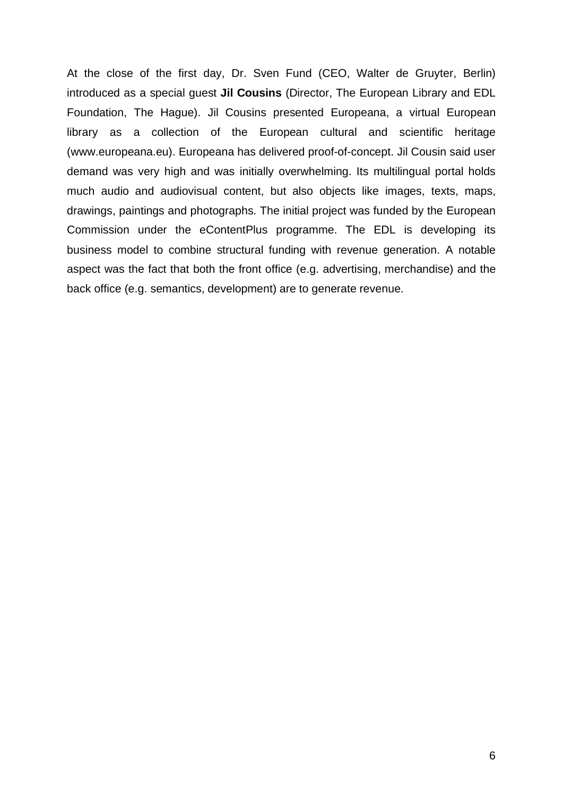At the close of the first day, Dr. Sven Fund (CEO, Walter de Gruyter, Berlin) introduced as a special guest **Jil Cousins** (Director, The European Library and EDL Foundation, The Hague). Jil Cousins presented Europeana, a virtual European library as a collection of the European cultural and scientific heritage (www.europeana.eu). Europeana has delivered proof-of-concept. Jil Cousin said user demand was very high and was initially overwhelming. Its multilingual portal holds much audio and audiovisual content, but also objects like images, texts, maps, drawings, paintings and photographs. The initial project was funded by the European Commission under the eContentPlus programme. The EDL is developing its business model to combine structural funding with revenue generation. A notable aspect was the fact that both the front office (e.g. advertising, merchandise) and the back office (e.g. semantics, development) are to generate revenue.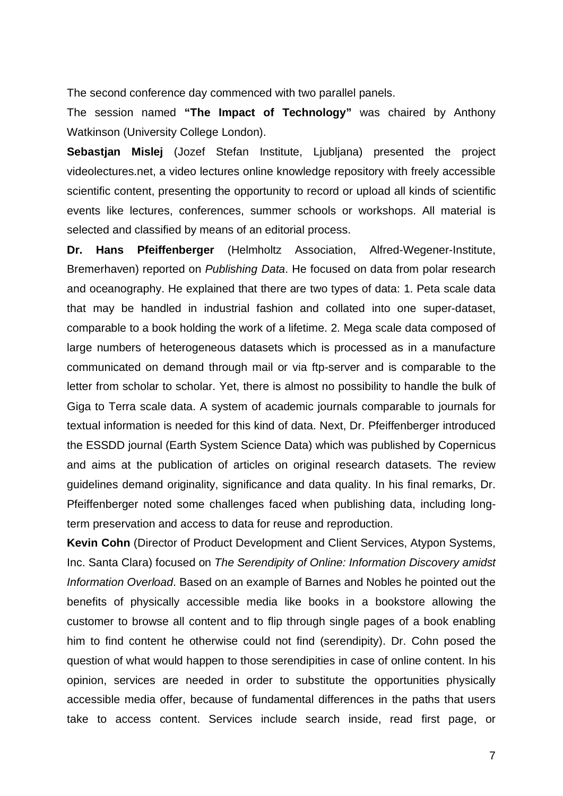The second conference day commenced with two parallel panels.

The session named **"The Impact of Technology"** was chaired by Anthony Watkinson (University College London).

**Sebastjan Mislej** (Jozef Stefan Institute, Ljubljana) presented the project videolectures.net, a video lectures online knowledge repository with freely accessible scientific content, presenting the opportunity to record or upload all kinds of scientific events like lectures, conferences, summer schools or workshops. All material is selected and classified by means of an editorial process.

**Dr. Hans Pfeiffenberger** (Helmholtz Association, Alfred-Wegener-Institute, Bremerhaven) reported on *Publishing Data*. He focused on data from polar research and oceanography. He explained that there are two types of data: 1. Peta scale data that may be handled in industrial fashion and collated into one super-dataset, comparable to a book holding the work of a lifetime. 2. Mega scale data composed of large numbers of heterogeneous datasets which is processed as in a manufacture communicated on demand through mail or via ftp-server and is comparable to the letter from scholar to scholar. Yet, there is almost no possibility to handle the bulk of Giga to Terra scale data. A system of academic journals comparable to journals for textual information is needed for this kind of data. Next, Dr. Pfeiffenberger introduced the ESSDD journal (Earth System Science Data) which was published by Copernicus and aims at the publication of articles on original research datasets. The review guidelines demand originality, significance and data quality. In his final remarks, Dr. Pfeiffenberger noted some challenges faced when publishing data, including longterm preservation and access to data for reuse and reproduction.

**Kevin Cohn** (Director of Product Development and Client Services, Atypon Systems, Inc. Santa Clara) focused on *The Serendipity of Online: Information Discovery amidst Information Overload*. Based on an example of Barnes and Nobles he pointed out the benefits of physically accessible media like books in a bookstore allowing the customer to browse all content and to flip through single pages of a book enabling him to find content he otherwise could not find (serendipity). Dr. Cohn posed the question of what would happen to those serendipities in case of online content. In his opinion, services are needed in order to substitute the opportunities physically accessible media offer, because of fundamental differences in the paths that users take to access content. Services include search inside, read first page, or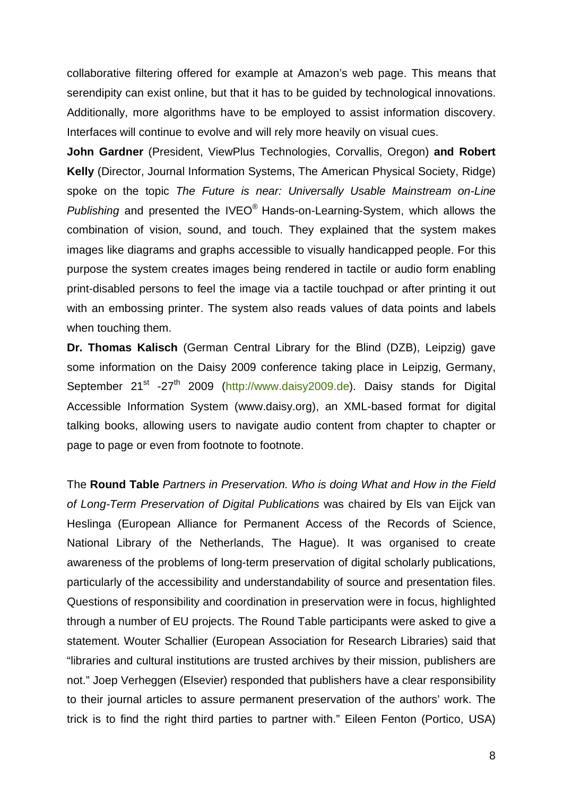collaborative filtering offered for example at Amazon's web page. This means that serendipity can exist online, but that it has to be guided by technological innovations. Additionally, more algorithms have to be employed to assist information discovery. Interfaces will continue to evolve and will rely more heavily on visual cues.

**John Gardner** (President, ViewPlus Technologies, Corvallis, Oregon) **and Robert Kelly** (Director, Journal Information Systems, The American Physical Society, Ridge) spoke on the topic *The Future is near: Universally Usable Mainstream on-Line Publishing* and presented the IVEO® Hands-on-Learning-System, which allows the combination of vision, sound, and touch. They explained that the system makes images like diagrams and graphs accessible to visually handicapped people. For this purpose the system creates images being rendered in tactile or audio form enabling print-disabled persons to feel the image via a tactile touchpad or after printing it out with an embossing printer. The system also reads values of data points and labels when touching them.

**Dr. Thomas Kalisch** (German Central Library for the Blind (DZB), Leipzig) gave some information on the Daisy 2009 conference taking place in Leipzig, Germany, September 21<sup>st</sup> -27<sup>th</sup> 2009 (http://www.daisy2009.de). Daisy stands for Digital Accessible Information System (www.daisy.org), an XML-based format for digital talking books, allowing users to navigate audio content from chapter to chapter or page to page or even from footnote to footnote.

The **Round Table** *Partners in Preservation. Who is doing What and How in the Field of Long-Term Preservation of Digital Publications* was chaired by Els van Eijck van Heslinga (European Alliance for Permanent Access of the Records of Science, National Library of the Netherlands, The Hague). It was organised to create awareness of the problems of long-term preservation of digital scholarly publications, particularly of the accessibility and understandability of source and presentation files. Questions of responsibility and coordination in preservation were in focus, highlighted through a number of EU projects. The Round Table participants were asked to give a statement. Wouter Schallier (European Association for Research Libraries) said that "libraries and cultural institutions are trusted archives by their mission, publishers are not." Joep Verheggen (Elsevier) responded that publishers have a clear responsibility to their journal articles to assure permanent preservation of the authors' work. The trick is to find the right third parties to partner with." Eileen Fenton (Portico, USA)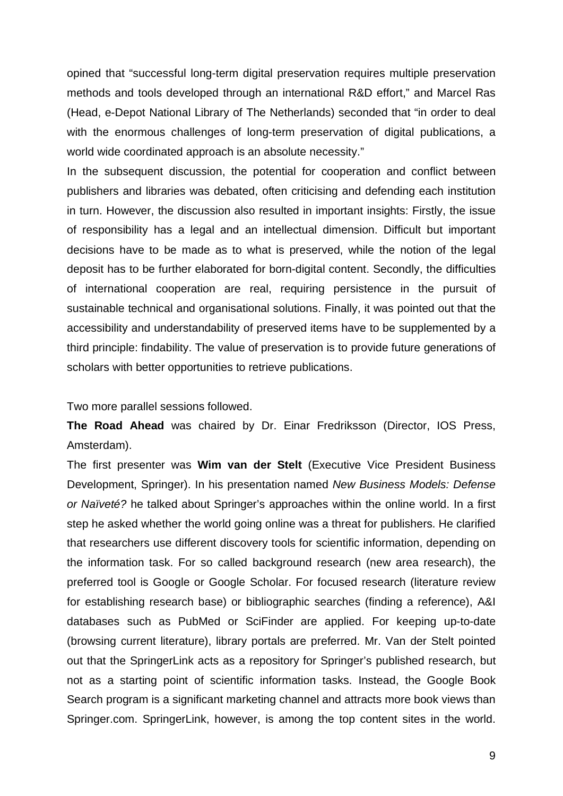opined that "successful long-term digital preservation requires multiple preservation methods and tools developed through an international R&D effort," and Marcel Ras (Head, e-Depot National Library of The Netherlands) seconded that "in order to deal with the enormous challenges of long-term preservation of digital publications, a world wide coordinated approach is an absolute necessity."

In the subsequent discussion, the potential for cooperation and conflict between publishers and libraries was debated, often criticising and defending each institution in turn. However, the discussion also resulted in important insights: Firstly, the issue of responsibility has a legal and an intellectual dimension. Difficult but important decisions have to be made as to what is preserved, while the notion of the legal deposit has to be further elaborated for born-digital content. Secondly, the difficulties of international cooperation are real, requiring persistence in the pursuit of sustainable technical and organisational solutions. Finally, it was pointed out that the accessibility and understandability of preserved items have to be supplemented by a third principle: findability. The value of preservation is to provide future generations of scholars with better opportunities to retrieve publications.

Two more parallel sessions followed.

**The Road Ahead** was chaired by Dr. Einar Fredriksson (Director, IOS Press, Amsterdam).

The first presenter was **Wim van der Stelt** (Executive Vice President Business Development, Springer). In his presentation named *New Business Models: Defense or Naïveté?* he talked about Springer's approaches within the online world. In a first step he asked whether the world going online was a threat for publishers. He clarified that researchers use different discovery tools for scientific information, depending on the information task. For so called background research (new area research), the preferred tool is Google or Google Scholar. For focused research (literature review for establishing research base) or bibliographic searches (finding a reference), A&I databases such as PubMed or SciFinder are applied. For keeping up-to-date (browsing current literature), library portals are preferred. Mr. Van der Stelt pointed out that the SpringerLink acts as a repository for Springer's published research, but not as a starting point of scientific information tasks. Instead, the Google Book Search program is a significant marketing channel and attracts more book views than Springer.com. SpringerLink, however, is among the top content sites in the world.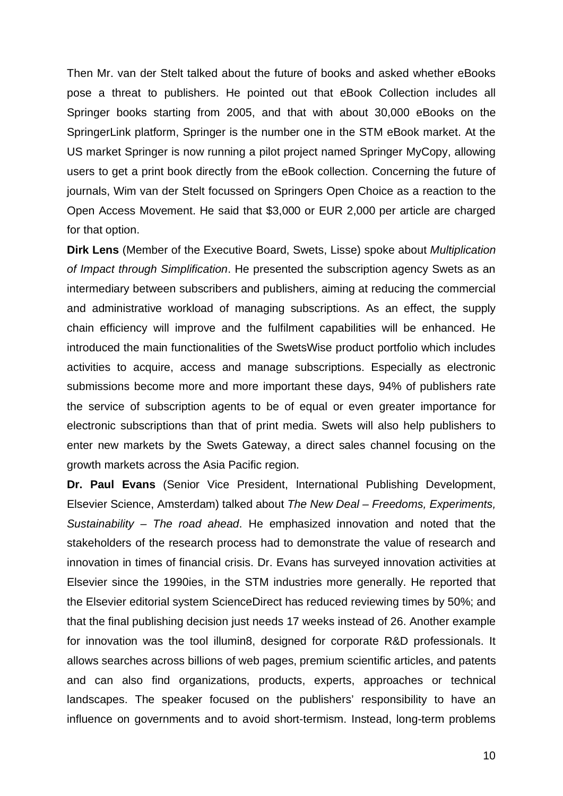Then Mr. van der Stelt talked about the future of books and asked whether eBooks pose a threat to publishers. He pointed out that eBook Collection includes all Springer books starting from 2005, and that with about 30,000 eBooks on the SpringerLink platform, Springer is the number one in the STM eBook market. At the US market Springer is now running a pilot project named Springer MyCopy, allowing users to get a print book directly from the eBook collection. Concerning the future of journals, Wim van der Stelt focussed on Springers Open Choice as a reaction to the Open Access Movement. He said that \$3,000 or EUR 2,000 per article are charged for that option.

**Dirk Lens** (Member of the Executive Board, Swets, Lisse) spoke about *Multiplication of Impact through Simplification*. He presented the subscription agency Swets as an intermediary between subscribers and publishers, aiming at reducing the commercial and administrative workload of managing subscriptions. As an effect, the supply chain efficiency will improve and the fulfilment capabilities will be enhanced. He introduced the main functionalities of the SwetsWise product portfolio which includes activities to acquire, access and manage subscriptions. Especially as electronic submissions become more and more important these days, 94% of publishers rate the service of subscription agents to be of equal or even greater importance for electronic subscriptions than that of print media. Swets will also help publishers to enter new markets by the Swets Gateway, a direct sales channel focusing on the growth markets across the Asia Pacific region.

**Dr. Paul Evans** (Senior Vice President, International Publishing Development, Elsevier Science, Amsterdam) talked about *The New Deal – Freedoms, Experiments, Sustainability – The road ahead*. He emphasized innovation and noted that the stakeholders of the research process had to demonstrate the value of research and innovation in times of financial crisis. Dr. Evans has surveyed innovation activities at Elsevier since the 1990ies, in the STM industries more generally. He reported that the Elsevier editorial system ScienceDirect has reduced reviewing times by 50%; and that the final publishing decision just needs 17 weeks instead of 26. Another example for innovation was the tool illumin8, designed for corporate R&D professionals. It allows searches across billions of web pages, premium scientific articles, and patents and can also find organizations, products, experts, approaches or technical landscapes. The speaker focused on the publishers' responsibility to have an influence on governments and to avoid short-termism. Instead, long-term problems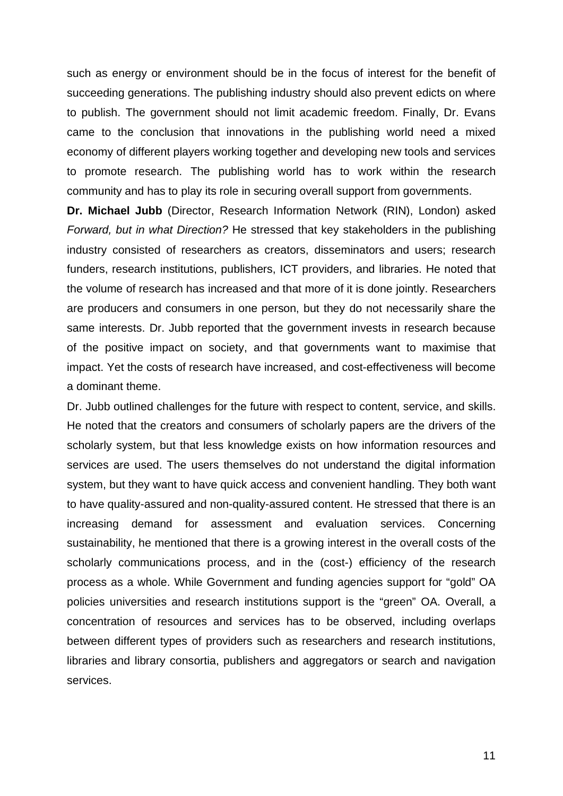such as energy or environment should be in the focus of interest for the benefit of succeeding generations. The publishing industry should also prevent edicts on where to publish. The government should not limit academic freedom. Finally, Dr. Evans came to the conclusion that innovations in the publishing world need a mixed economy of different players working together and developing new tools and services to promote research. The publishing world has to work within the research community and has to play its role in securing overall support from governments.

**Dr. Michael Jubb** (Director, Research Information Network (RIN), London) asked *Forward, but in what Direction?* He stressed that key stakeholders in the publishing industry consisted of researchers as creators, disseminators and users; research funders, research institutions, publishers, ICT providers, and libraries. He noted that the volume of research has increased and that more of it is done jointly. Researchers are producers and consumers in one person, but they do not necessarily share the same interests. Dr. Jubb reported that the government invests in research because of the positive impact on society, and that governments want to maximise that impact. Yet the costs of research have increased, and cost-effectiveness will become a dominant theme.

Dr. Jubb outlined challenges for the future with respect to content, service, and skills. He noted that the creators and consumers of scholarly papers are the drivers of the scholarly system, but that less knowledge exists on how information resources and services are used. The users themselves do not understand the digital information system, but they want to have quick access and convenient handling. They both want to have quality-assured and non-quality-assured content. He stressed that there is an increasing demand for assessment and evaluation services. Concerning sustainability, he mentioned that there is a growing interest in the overall costs of the scholarly communications process, and in the (cost-) efficiency of the research process as a whole. While Government and funding agencies support for "gold" OA policies universities and research institutions support is the "green" OA. Overall, a concentration of resources and services has to be observed, including overlaps between different types of providers such as researchers and research institutions, libraries and library consortia, publishers and aggregators or search and navigation services.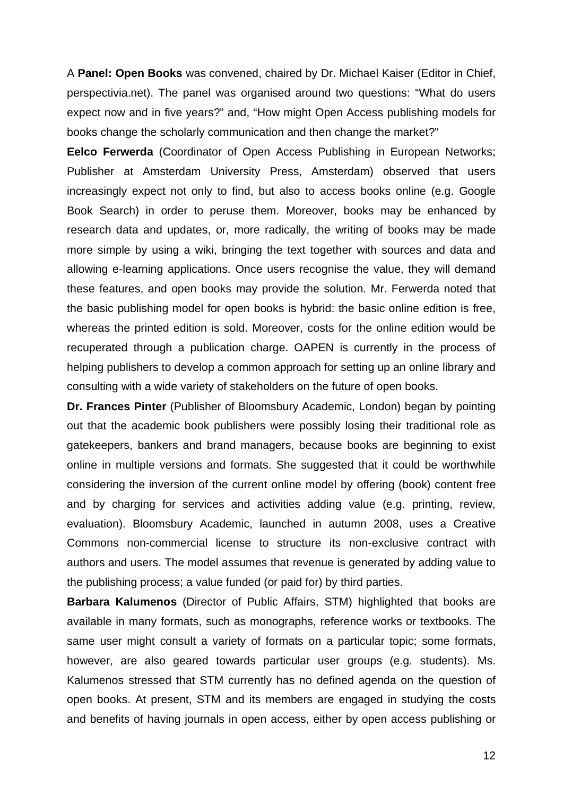A **Panel: Open Books** was convened, chaired by Dr. Michael Kaiser (Editor in Chief, perspectivia.net). The panel was organised around two questions: "What do users expect now and in five years?" and, "How might Open Access publishing models for books change the scholarly communication and then change the market?"

**Eelco Ferwerda** (Coordinator of Open Access Publishing in European Networks; Publisher at Amsterdam University Press, Amsterdam) observed that users increasingly expect not only to find, but also to access books online (e.g. Google Book Search) in order to peruse them. Moreover, books may be enhanced by research data and updates, or, more radically, the writing of books may be made more simple by using a wiki, bringing the text together with sources and data and allowing e-learning applications. Once users recognise the value, they will demand these features, and open books may provide the solution. Mr. Ferwerda noted that the basic publishing model for open books is hybrid: the basic online edition is free, whereas the printed edition is sold. Moreover, costs for the online edition would be recuperated through a publication charge. OAPEN is currently in the process of helping publishers to develop a common approach for setting up an online library and consulting with a wide variety of stakeholders on the future of open books.

**Dr. Frances Pinter** (Publisher of Bloomsbury Academic, London) began by pointing out that the academic book publishers were possibly losing their traditional role as gatekeepers, bankers and brand managers, because books are beginning to exist online in multiple versions and formats. She suggested that it could be worthwhile considering the inversion of the current online model by offering (book) content free and by charging for services and activities adding value (e.g. printing, review, evaluation). Bloomsbury Academic, launched in autumn 2008, uses a Creative Commons non-commercial license to structure its non-exclusive contract with authors and users. The model assumes that revenue is generated by adding value to the publishing process; a value funded (or paid for) by third parties.

**Barbara Kalumenos** (Director of Public Affairs, STM) highlighted that books are available in many formats, such as monographs, reference works or textbooks. The same user might consult a variety of formats on a particular topic; some formats, however, are also geared towards particular user groups (e.g. students). Ms. Kalumenos stressed that STM currently has no defined agenda on the question of open books. At present, STM and its members are engaged in studying the costs and benefits of having journals in open access, either by open access publishing or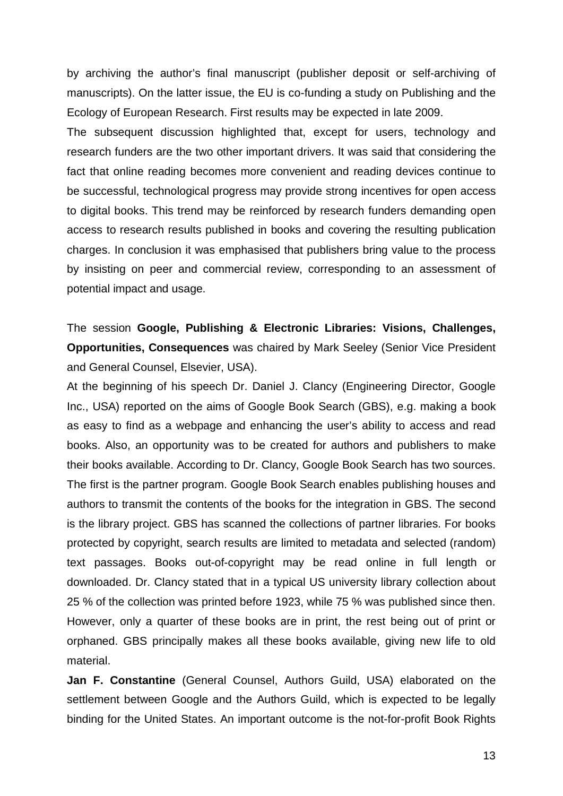by archiving the author's final manuscript (publisher deposit or self-archiving of manuscripts). On the latter issue, the EU is co-funding a study on Publishing and the Ecology of European Research. First results may be expected in late 2009.

The subsequent discussion highlighted that, except for users, technology and research funders are the two other important drivers. It was said that considering the fact that online reading becomes more convenient and reading devices continue to be successful, technological progress may provide strong incentives for open access to digital books. This trend may be reinforced by research funders demanding open access to research results published in books and covering the resulting publication charges. In conclusion it was emphasised that publishers bring value to the process by insisting on peer and commercial review, corresponding to an assessment of potential impact and usage.

The session **Google, Publishing & Electronic Libraries: Visions, Challenges, Opportunities, Consequences** was chaired by Mark Seeley (Senior Vice President and General Counsel, Elsevier, USA).

At the beginning of his speech Dr. Daniel J. Clancy (Engineering Director, Google Inc., USA) reported on the aims of Google Book Search (GBS), e.g. making a book as easy to find as a webpage and enhancing the user's ability to access and read books. Also, an opportunity was to be created for authors and publishers to make their books available. According to Dr. Clancy, Google Book Search has two sources. The first is the partner program. Google Book Search enables publishing houses and authors to transmit the contents of the books for the integration in GBS. The second is the library project. GBS has scanned the collections of partner libraries. For books protected by copyright, search results are limited to metadata and selected (random) text passages. Books out-of-copyright may be read online in full length or downloaded. Dr. Clancy stated that in a typical US university library collection about 25 % of the collection was printed before 1923, while 75 % was published since then. However, only a quarter of these books are in print, the rest being out of print or orphaned. GBS principally makes all these books available, giving new life to old material.

**Jan F. Constantine** (General Counsel, Authors Guild, USA) elaborated on the settlement between Google and the Authors Guild, which is expected to be legally binding for the United States. An important outcome is the not-for-profit Book Rights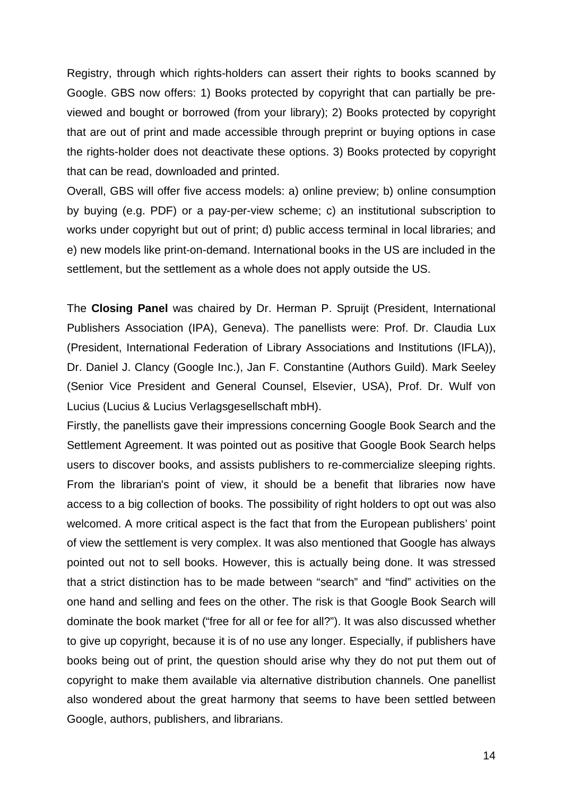Registry, through which rights-holders can assert their rights to books scanned by Google. GBS now offers: 1) Books protected by copyright that can partially be previewed and bought or borrowed (from your library); 2) Books protected by copyright that are out of print and made accessible through preprint or buying options in case the rights-holder does not deactivate these options. 3) Books protected by copyright that can be read, downloaded and printed.

Overall, GBS will offer five access models: a) online preview; b) online consumption by buying (e.g. PDF) or a pay-per-view scheme; c) an institutional subscription to works under copyright but out of print; d) public access terminal in local libraries; and e) new models like print-on-demand. International books in the US are included in the settlement, but the settlement as a whole does not apply outside the US.

The **Closing Panel** was chaired by Dr. Herman P. Spruijt (President, International Publishers Association (IPA), Geneva). The panellists were: Prof. Dr. Claudia Lux (President, International Federation of Library Associations and Institutions (IFLA)), Dr. Daniel J. Clancy (Google Inc.), Jan F. Constantine (Authors Guild). Mark Seeley (Senior Vice President and General Counsel, Elsevier, USA), Prof. Dr. Wulf von Lucius (Lucius & Lucius Verlagsgesellschaft mbH).

Firstly, the panellists gave their impressions concerning Google Book Search and the Settlement Agreement. It was pointed out as positive that Google Book Search helps users to discover books, and assists publishers to re-commercialize sleeping rights. From the librarian's point of view, it should be a benefit that libraries now have access to a big collection of books. The possibility of right holders to opt out was also welcomed. A more critical aspect is the fact that from the European publishers' point of view the settlement is very complex. It was also mentioned that Google has always pointed out not to sell books. However, this is actually being done. It was stressed that a strict distinction has to be made between "search" and "find" activities on the one hand and selling and fees on the other. The risk is that Google Book Search will dominate the book market ("free for all or fee for all?"). It was also discussed whether to give up copyright, because it is of no use any longer. Especially, if publishers have books being out of print, the question should arise why they do not put them out of copyright to make them available via alternative distribution channels. One panellist also wondered about the great harmony that seems to have been settled between Google, authors, publishers, and librarians.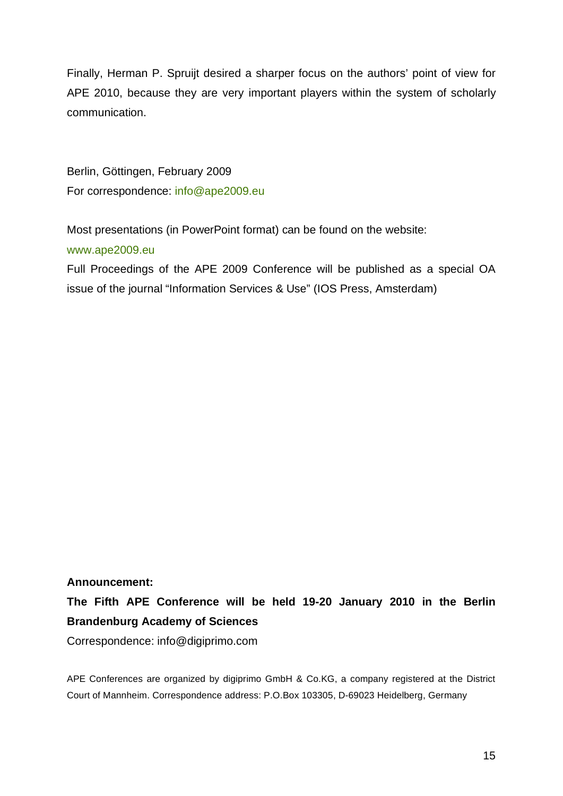Finally, Herman P. Spruijt desired a sharper focus on the authors' point of view for APE 2010, because they are very important players within the system of scholarly communication.

Berlin, Göttingen, February 2009 For correspondence: info@ape2009.eu

Most presentations (in PowerPoint format) can be found on the website:

#### www.ape2009.eu

Full Proceedings of the APE 2009 Conference will be published as a special OA issue of the journal "Information Services & Use" (IOS Press, Amsterdam)

### **Announcement:**

**The Fifth APE Conference will be held 19-20 January 2010 in the Berlin Brandenburg Academy of Sciences** 

Correspondence: info@digiprimo.com

APE Conferences are organized by digiprimo GmbH & Co.KG, a company registered at the District Court of Mannheim. Correspondence address: P.O.Box 103305, D-69023 Heidelberg, Germany